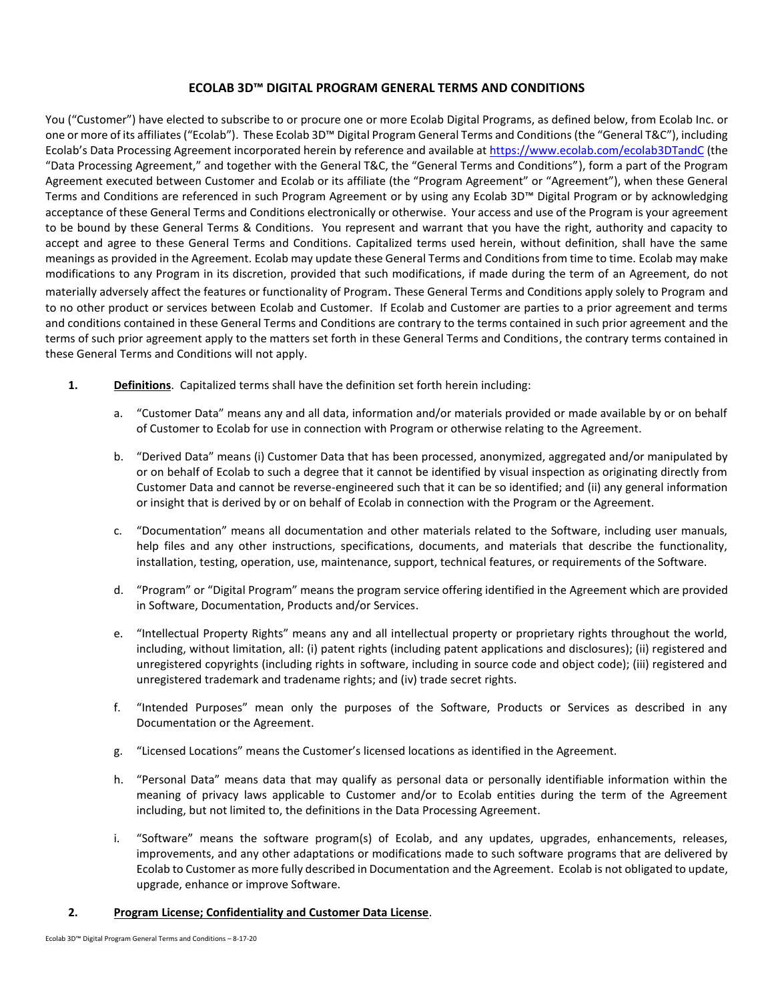# **ECOLAB 3D™ DIGITAL PROGRAM GENERAL TERMS AND CONDITIONS**

You ("Customer") have elected to subscribe to or procure one or more Ecolab Digital Programs, as defined below, from Ecolab Inc. or one or more of its affiliates("Ecolab"). These Ecolab 3D™ Digital Program General Terms and Conditions (the "General T&C"), including Ecolab's Data Processing Agreement incorporated herein by reference and available a[t https://www.ecolab.com/ecolab3DTandC](https://www.ecolab.com/ecolab3DTandC) (the "Data Processing Agreement," and together with the General T&C, the "General Terms and Conditions"), form a part of the Program Agreement executed between Customer and Ecolab or its affiliate (the "Program Agreement" or "Agreement"), when these General Terms and Conditions are referenced in such Program Agreement or by using any Ecolab 3D™ Digital Program or by acknowledging acceptance of these General Terms and Conditions electronically or otherwise. Your access and use of the Program is your agreement to be bound by these General Terms & Conditions. You represent and warrant that you have the right, authority and capacity to accept and agree to these General Terms and Conditions. Capitalized terms used herein, without definition, shall have the same meanings as provided in the Agreement. Ecolab may update these General Terms and Conditions from time to time. Ecolab may make modifications to any Program in its discretion, provided that such modifications, if made during the term of an Agreement, do not materially adversely affect the features or functionality of Program. These General Terms and Conditions apply solely to Program and to no other product or services between Ecolab and Customer. If Ecolab and Customer are parties to a prior agreement and terms and conditions contained in these General Terms and Conditions are contrary to the terms contained in such prior agreement and the terms of such prior agreement apply to the matters set forth in these General Terms and Conditions, the contrary terms contained in these General Terms and Conditions will not apply.

- **1. Definitions**. Capitalized terms shall have the definition set forth herein including:
	- a. "Customer Data" means any and all data, information and/or materials provided or made available by or on behalf of Customer to Ecolab for use in connection with Program or otherwise relating to the Agreement.
	- b. "Derived Data" means (i) Customer Data that has been processed, anonymized, aggregated and/or manipulated by or on behalf of Ecolab to such a degree that it cannot be identified by visual inspection as originating directly from Customer Data and cannot be reverse-engineered such that it can be so identified; and (ii) any general information or insight that is derived by or on behalf of Ecolab in connection with the Program or the Agreement.
	- c. "Documentation" means all documentation and other materials related to the Software, including user manuals, help files and any other instructions, specifications, documents, and materials that describe the functionality, installation, testing, operation, use, maintenance, support, technical features, or requirements of the Software.
	- d. "Program" or "Digital Program" means the program service offering identified in the Agreement which are provided in Software, Documentation, Products and/or Services.
	- e. "Intellectual Property Rights" means any and all intellectual property or proprietary rights throughout the world, including, without limitation, all: (i) patent rights (including patent applications and disclosures); (ii) registered and unregistered copyrights (including rights in software, including in source code and object code); (iii) registered and unregistered trademark and tradename rights; and (iv) trade secret rights.
	- f. "Intended Purposes" mean only the purposes of the Software, Products or Services as described in any Documentation or the Agreement.
	- g. "Licensed Locations" means the Customer's licensed locations as identified in the Agreement.
	- h. "Personal Data" means data that may qualify as personal data or personally identifiable information within the meaning of privacy laws applicable to Customer and/or to Ecolab entities during the term of the Agreement including, but not limited to, the definitions in the Data Processing Agreement.
	- i. "Software" means the software program(s) of Ecolab, and any updates, upgrades, enhancements, releases, improvements, and any other adaptations or modifications made to such software programs that are delivered by Ecolab to Customer as more fully described in Documentation and the Agreement. Ecolab is not obligated to update, upgrade, enhance or improve Software.

# **2. Program License; Confidentiality and Customer Data License**.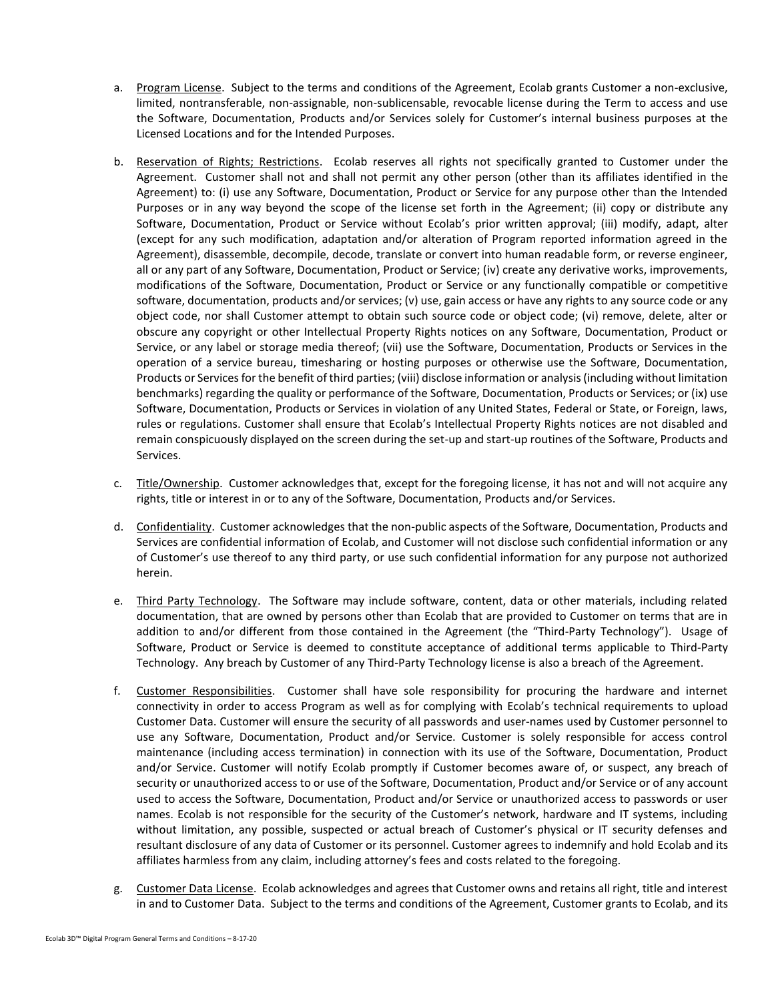- a. Program License. Subject to the terms and conditions of the Agreement, Ecolab grants Customer a non-exclusive, limited, nontransferable, non-assignable, non-sublicensable, revocable license during the Term to access and use the Software, Documentation, Products and/or Services solely for Customer's internal business purposes at the Licensed Locations and for the Intended Purposes.
- b. Reservation of Rights; Restrictions. Ecolab reserves all rights not specifically granted to Customer under the Agreement. Customer shall not and shall not permit any other person (other than its affiliates identified in the Agreement) to: (i) use any Software, Documentation, Product or Service for any purpose other than the Intended Purposes or in any way beyond the scope of the license set forth in the Agreement; (ii) copy or distribute any Software, Documentation, Product or Service without Ecolab's prior written approval; (iii) modify, adapt, alter (except for any such modification, adaptation and/or alteration of Program reported information agreed in the Agreement), disassemble, decompile, decode, translate or convert into human readable form, or reverse engineer, all or any part of any Software, Documentation, Product or Service; (iv) create any derivative works, improvements, modifications of the Software, Documentation, Product or Service or any functionally compatible or competitive software, documentation, products and/or services; (v) use, gain access or have any rights to any source code or any object code, nor shall Customer attempt to obtain such source code or object code; (vi) remove, delete, alter or obscure any copyright or other Intellectual Property Rights notices on any Software, Documentation, Product or Service, or any label or storage media thereof; (vii) use the Software, Documentation, Products or Services in the operation of a service bureau, timesharing or hosting purposes or otherwise use the Software, Documentation, Products or Services for the benefit of third parties; (viii) disclose information or analysis (including without limitation benchmarks) regarding the quality or performance of the Software, Documentation, Products or Services; or (ix) use Software, Documentation, Products or Services in violation of any United States, Federal or State, or Foreign, laws, rules or regulations. Customer shall ensure that Ecolab's Intellectual Property Rights notices are not disabled and remain conspicuously displayed on the screen during the set-up and start-up routines of the Software, Products and Services.
- c. Title/Ownership. Customer acknowledges that, except for the foregoing license, it has not and will not acquire any rights, title or interest in or to any of the Software, Documentation, Products and/or Services.
- d. Confidentiality. Customer acknowledges that the non-public aspects of the Software, Documentation, Products and Services are confidential information of Ecolab, and Customer will not disclose such confidential information or any of Customer's use thereof to any third party, or use such confidential information for any purpose not authorized herein.
- e. Third Party Technology. The Software may include software, content, data or other materials, including related documentation, that are owned by persons other than Ecolab that are provided to Customer on terms that are in addition to and/or different from those contained in the Agreement (the "Third-Party Technology"). Usage of Software, Product or Service is deemed to constitute acceptance of additional terms applicable to Third-Party Technology. Any breach by Customer of any Third-Party Technology license is also a breach of the Agreement.
- f. Customer Responsibilities. Customer shall have sole responsibility for procuring the hardware and internet connectivity in order to access Program as well as for complying with Ecolab's technical requirements to upload Customer Data. Customer will ensure the security of all passwords and user-names used by Customer personnel to use any Software, Documentation, Product and/or Service. Customer is solely responsible for access control maintenance (including access termination) in connection with its use of the Software, Documentation, Product and/or Service. Customer will notify Ecolab promptly if Customer becomes aware of, or suspect, any breach of security or unauthorized access to or use of the Software, Documentation, Product and/or Service or of any account used to access the Software, Documentation, Product and/or Service or unauthorized access to passwords or user names. Ecolab is not responsible for the security of the Customer's network, hardware and IT systems, including without limitation, any possible, suspected or actual breach of Customer's physical or IT security defenses and resultant disclosure of any data of Customer or its personnel. Customer agrees to indemnify and hold Ecolab and its affiliates harmless from any claim, including attorney's fees and costs related to the foregoing.
- g. Customer Data License. Ecolab acknowledges and agrees that Customer owns and retains all right, title and interest in and to Customer Data. Subject to the terms and conditions of the Agreement, Customer grants to Ecolab, and its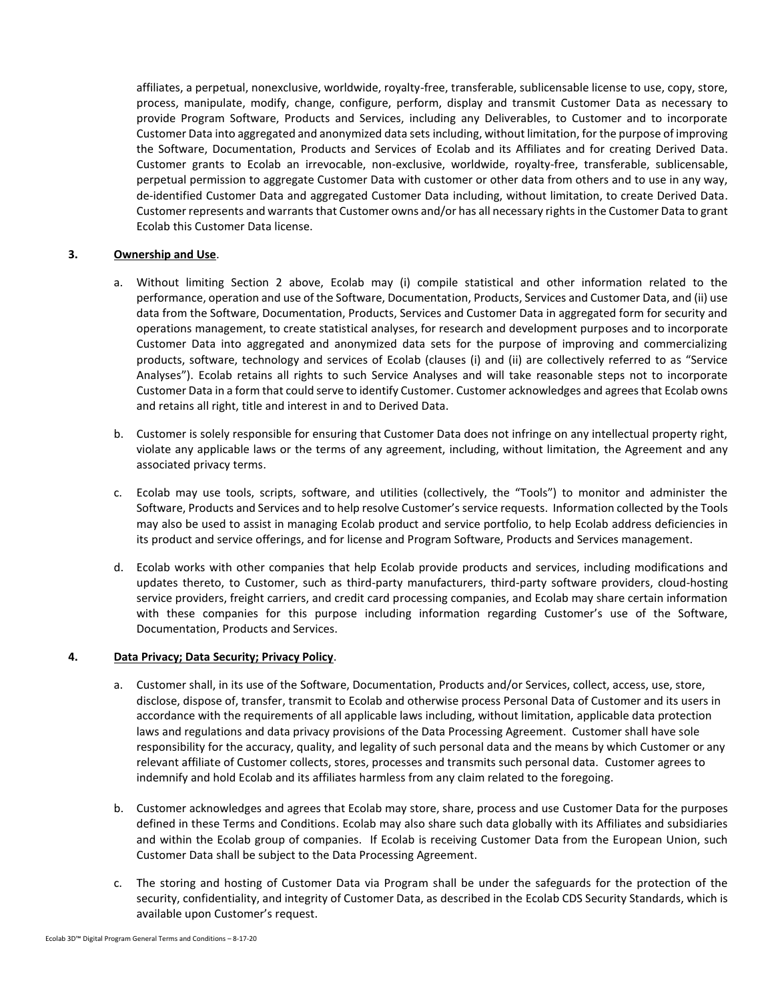affiliates, a perpetual, nonexclusive, worldwide, royalty-free, transferable, sublicensable license to use, copy, store, process, manipulate, modify, change, configure, perform, display and transmit Customer Data as necessary to provide Program Software, Products and Services, including any Deliverables, to Customer and to incorporate Customer Data into aggregated and anonymized data sets including, without limitation, for the purpose of improving the Software, Documentation, Products and Services of Ecolab and its Affiliates and for creating Derived Data. Customer grants to Ecolab an irrevocable, non-exclusive, worldwide, royalty-free, transferable, sublicensable, perpetual permission to aggregate Customer Data with customer or other data from others and to use in any way, de-identified Customer Data and aggregated Customer Data including, without limitation, to create Derived Data. Customer represents and warrants that Customer owns and/or has all necessary rights in the Customer Data to grant Ecolab this Customer Data license.

### **3. Ownership and Use**.

- a. Without limiting Section 2 above, Ecolab may (i) compile statistical and other information related to the performance, operation and use of the Software, Documentation, Products, Services and Customer Data, and (ii) use data from the Software, Documentation, Products, Services and Customer Data in aggregated form for security and operations management, to create statistical analyses, for research and development purposes and to incorporate Customer Data into aggregated and anonymized data sets for the purpose of improving and commercializing products, software, technology and services of Ecolab (clauses (i) and (ii) are collectively referred to as "Service Analyses"). Ecolab retains all rights to such Service Analyses and will take reasonable steps not to incorporate Customer Data in a form that could serve to identify Customer. Customer acknowledges and agrees that Ecolab owns and retains all right, title and interest in and to Derived Data.
- b. Customer is solely responsible for ensuring that Customer Data does not infringe on any intellectual property right, violate any applicable laws or the terms of any agreement, including, without limitation, the Agreement and any associated privacy terms.
- c. Ecolab may use tools, scripts, software, and utilities (collectively, the "Tools") to monitor and administer the Software, Products and Services and to help resolve Customer's service requests. Information collected by the Tools may also be used to assist in managing Ecolab product and service portfolio, to help Ecolab address deficiencies in its product and service offerings, and for license and Program Software, Products and Services management.
- d. Ecolab works with other companies that help Ecolab provide products and services, including modifications and updates thereto, to Customer, such as third-party manufacturers, third-party software providers, cloud-hosting service providers, freight carriers, and credit card processing companies, and Ecolab may share certain information with these companies for this purpose including information regarding Customer's use of the Software, Documentation, Products and Services.

#### **4. Data Privacy; Data Security; Privacy Policy**.

- a. Customer shall, in its use of the Software, Documentation, Products and/or Services, collect, access, use, store, disclose, dispose of, transfer, transmit to Ecolab and otherwise process Personal Data of Customer and its users in accordance with the requirements of all applicable laws including, without limitation, applicable data protection laws and regulations and data privacy provisions of the Data Processing Agreement. Customer shall have sole responsibility for the accuracy, quality, and legality of such personal data and the means by which Customer or any relevant affiliate of Customer collects, stores, processes and transmits such personal data. Customer agrees to indemnify and hold Ecolab and its affiliates harmless from any claim related to the foregoing.
- b. Customer acknowledges and agrees that Ecolab may store, share, process and use Customer Data for the purposes defined in these Terms and Conditions. Ecolab may also share such data globally with its Affiliates and subsidiaries and within the Ecolab group of companies. If Ecolab is receiving Customer Data from the European Union, such Customer Data shall be subject to the Data Processing Agreement.
- c. The storing and hosting of Customer Data via Program shall be under the safeguards for the protection of the security, confidentiality, and integrity of Customer Data, as described in the Ecolab CDS Security Standards, which is available upon Customer's request.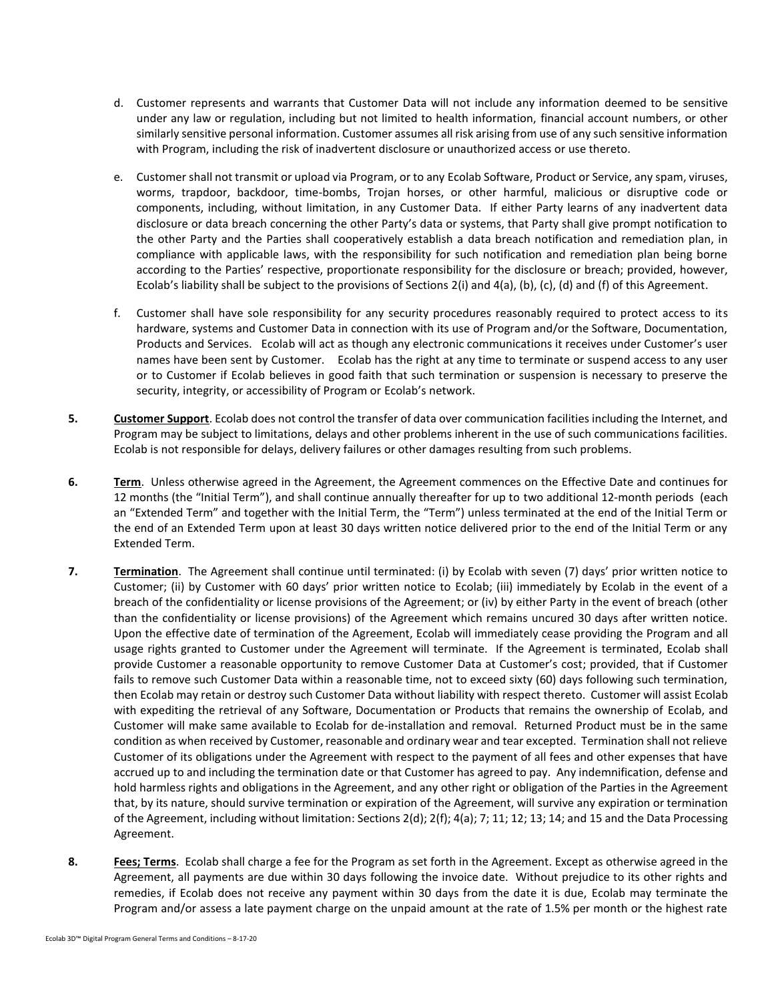- d. Customer represents and warrants that Customer Data will not include any information deemed to be sensitive under any law or regulation, including but not limited to health information, financial account numbers, or other similarly sensitive personal information. Customer assumes all risk arising from use of any such sensitive information with Program, including the risk of inadvertent disclosure or unauthorized access or use thereto.
- e. Customer shall not transmit or upload via Program, or to any Ecolab Software, Product or Service, any spam, viruses, worms, trapdoor, backdoor, time-bombs, Trojan horses, or other harmful, malicious or disruptive code or components, including, without limitation, in any Customer Data. If either Party learns of any inadvertent data disclosure or data breach concerning the other Party's data or systems, that Party shall give prompt notification to the other Party and the Parties shall cooperatively establish a data breach notification and remediation plan, in compliance with applicable laws, with the responsibility for such notification and remediation plan being borne according to the Parties' respective, proportionate responsibility for the disclosure or breach; provided, however, Ecolab's liability shall be subject to the provisions of Sections 2(i) and 4(a), (b), (c), (d) and (f) of this Agreement.
- f. Customer shall have sole responsibility for any security procedures reasonably required to protect access to its hardware, systems and Customer Data in connection with its use of Program and/or the Software, Documentation, Products and Services. Ecolab will act as though any electronic communications it receives under Customer's user names have been sent by Customer. Ecolab has the right at any time to terminate or suspend access to any user or to Customer if Ecolab believes in good faith that such termination or suspension is necessary to preserve the security, integrity, or accessibility of Program or Ecolab's network.
- **5. Customer Support**. Ecolab does not control the transfer of data over communication facilities including the Internet, and Program may be subject to limitations, delays and other problems inherent in the use of such communications facilities. Ecolab is not responsible for delays, delivery failures or other damages resulting from such problems.
- **6. Term**. Unless otherwise agreed in the Agreement, the Agreement commences on the Effective Date and continues for 12 months (the "Initial Term"), and shall continue annually thereafter for up to two additional 12-month periods (each an "Extended Term" and together with the Initial Term, the "Term") unless terminated at the end of the Initial Term or the end of an Extended Term upon at least 30 days written notice delivered prior to the end of the Initial Term or any Extended Term.
- **7. Termination**. The Agreement shall continue until terminated: (i) by Ecolab with seven (7) days' prior written notice to Customer; (ii) by Customer with 60 days' prior written notice to Ecolab; (iii) immediately by Ecolab in the event of a breach of the confidentiality or license provisions of the Agreement; or (iv) by either Party in the event of breach (other than the confidentiality or license provisions) of the Agreement which remains uncured 30 days after written notice. Upon the effective date of termination of the Agreement, Ecolab will immediately cease providing the Program and all usage rights granted to Customer under the Agreement will terminate. If the Agreement is terminated, Ecolab shall provide Customer a reasonable opportunity to remove Customer Data at Customer's cost; provided, that if Customer fails to remove such Customer Data within a reasonable time, not to exceed sixty (60) days following such termination, then Ecolab may retain or destroy such Customer Data without liability with respect thereto. Customer will assist Ecolab with expediting the retrieval of any Software, Documentation or Products that remains the ownership of Ecolab, and Customer will make same available to Ecolab for de-installation and removal. Returned Product must be in the same condition as when received by Customer, reasonable and ordinary wear and tear excepted. Termination shall not relieve Customer of its obligations under the Agreement with respect to the payment of all fees and other expenses that have accrued up to and including the termination date or that Customer has agreed to pay. Any indemnification, defense and hold harmless rights and obligations in the Agreement, and any other right or obligation of the Parties in the Agreement that, by its nature, should survive termination or expiration of the Agreement, will survive any expiration or termination of the Agreement, including without limitation: Sections 2(d); 2(f); 4(a); 7; 11; 12; 13; 14; and 15 and the Data Processing Agreement.
- **8. Fees; Terms**. Ecolab shall charge a fee for the Program as set forth in the Agreement. Except as otherwise agreed in the Agreement, all payments are due within 30 days following the invoice date. Without prejudice to its other rights and remedies, if Ecolab does not receive any payment within 30 days from the date it is due, Ecolab may terminate the Program and/or assess a late payment charge on the unpaid amount at the rate of 1.5% per month or the highest rate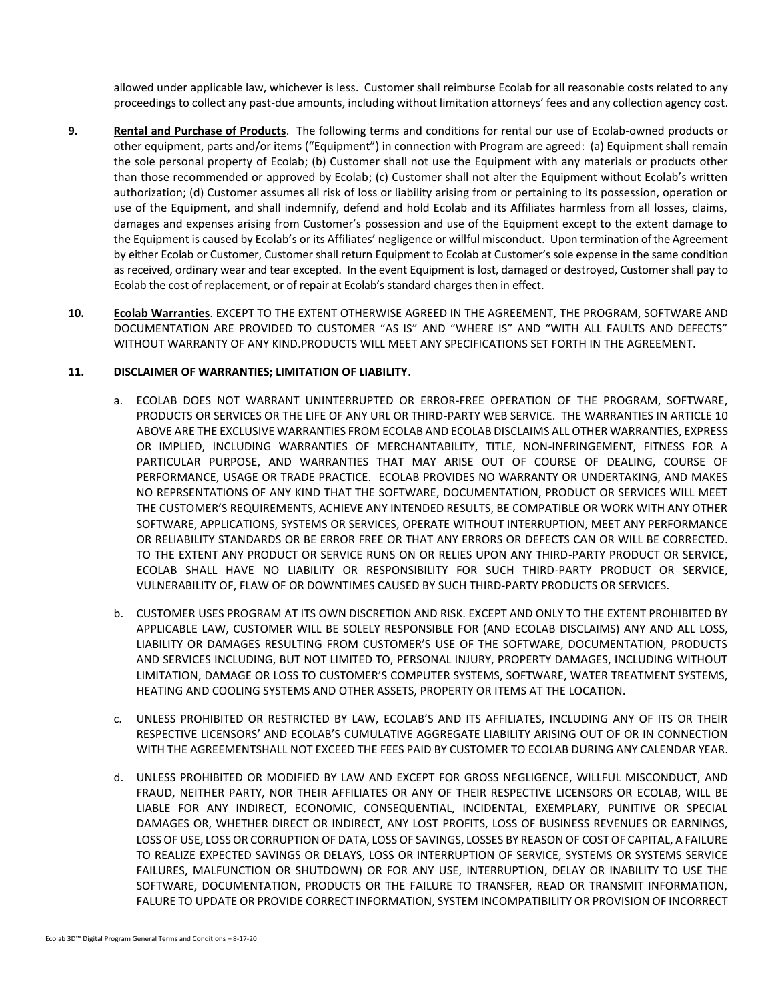allowed under applicable law, whichever is less. Customer shall reimburse Ecolab for all reasonable costs related to any proceedings to collect any past-due amounts, including without limitation attorneys' fees and any collection agency cost.

- **9. Rental and Purchase of Products**. The following terms and conditions for rental our use of Ecolab-owned products or other equipment, parts and/or items ("Equipment") in connection with Program are agreed: (a) Equipment shall remain the sole personal property of Ecolab; (b) Customer shall not use the Equipment with any materials or products other than those recommended or approved by Ecolab; (c) Customer shall not alter the Equipment without Ecolab's written authorization; (d) Customer assumes all risk of loss or liability arising from or pertaining to its possession, operation or use of the Equipment, and shall indemnify, defend and hold Ecolab and its Affiliates harmless from all losses, claims, damages and expenses arising from Customer's possession and use of the Equipment except to the extent damage to the Equipment is caused by Ecolab's or its Affiliates' negligence or willful misconduct. Upon termination of the Agreement by either Ecolab or Customer, Customer shall return Equipment to Ecolab at Customer's sole expense in the same condition as received, ordinary wear and tear excepted. In the event Equipment is lost, damaged or destroyed, Customer shall pay to Ecolab the cost of replacement, or of repair at Ecolab's standard charges then in effect.
- **10. Ecolab Warranties**. EXCEPT TO THE EXTENT OTHERWISE AGREED IN THE AGREEMENT, THE PROGRAM, SOFTWARE AND DOCUMENTATION ARE PROVIDED TO CUSTOMER "AS IS" AND "WHERE IS" AND "WITH ALL FAULTS AND DEFECTS" WITHOUT WARRANTY OF ANY KIND.PRODUCTS WILL MEET ANY SPECIFICATIONS SET FORTH IN THE AGREEMENT.

### **11. DISCLAIMER OF WARRANTIES; LIMITATION OF LIABILITY**.

- a. ECOLAB DOES NOT WARRANT UNINTERRUPTED OR ERROR-FREE OPERATION OF THE PROGRAM, SOFTWARE, PRODUCTS OR SERVICES OR THE LIFE OF ANY URL OR THIRD-PARTY WEB SERVICE. THE WARRANTIES IN ARTICLE 10 ABOVE ARE THE EXCLUSIVE WARRANTIES FROM ECOLAB AND ECOLAB DISCLAIMS ALL OTHER WARRANTIES, EXPRESS OR IMPLIED, INCLUDING WARRANTIES OF MERCHANTABILITY, TITLE, NON-INFRINGEMENT, FITNESS FOR A PARTICULAR PURPOSE, AND WARRANTIES THAT MAY ARISE OUT OF COURSE OF DEALING, COURSE OF PERFORMANCE, USAGE OR TRADE PRACTICE. ECOLAB PROVIDES NO WARRANTY OR UNDERTAKING, AND MAKES NO REPRSENTATIONS OF ANY KIND THAT THE SOFTWARE, DOCUMENTATION, PRODUCT OR SERVICES WILL MEET THE CUSTOMER'S REQUIREMENTS, ACHIEVE ANY INTENDED RESULTS, BE COMPATIBLE OR WORK WITH ANY OTHER SOFTWARE, APPLICATIONS, SYSTEMS OR SERVICES, OPERATE WITHOUT INTERRUPTION, MEET ANY PERFORMANCE OR RELIABILITY STANDARDS OR BE ERROR FREE OR THAT ANY ERRORS OR DEFECTS CAN OR WILL BE CORRECTED. TO THE EXTENT ANY PRODUCT OR SERVICE RUNS ON OR RELIES UPON ANY THIRD-PARTY PRODUCT OR SERVICE, ECOLAB SHALL HAVE NO LIABILITY OR RESPONSIBILITY FOR SUCH THIRD-PARTY PRODUCT OR SERVICE, VULNERABILITY OF, FLAW OF OR DOWNTIMES CAUSED BY SUCH THIRD-PARTY PRODUCTS OR SERVICES.
- b. CUSTOMER USES PROGRAM AT ITS OWN DISCRETION AND RISK. EXCEPT AND ONLY TO THE EXTENT PROHIBITED BY APPLICABLE LAW, CUSTOMER WILL BE SOLELY RESPONSIBLE FOR (AND ECOLAB DISCLAIMS) ANY AND ALL LOSS, LIABILITY OR DAMAGES RESULTING FROM CUSTOMER'S USE OF THE SOFTWARE, DOCUMENTATION, PRODUCTS AND SERVICES INCLUDING, BUT NOT LIMITED TO, PERSONAL INJURY, PROPERTY DAMAGES, INCLUDING WITHOUT LIMITATION, DAMAGE OR LOSS TO CUSTOMER'S COMPUTER SYSTEMS, SOFTWARE, WATER TREATMENT SYSTEMS, HEATING AND COOLING SYSTEMS AND OTHER ASSETS, PROPERTY OR ITEMS AT THE LOCATION.
- c. UNLESS PROHIBITED OR RESTRICTED BY LAW, ECOLAB'S AND ITS AFFILIATES, INCLUDING ANY OF ITS OR THEIR RESPECTIVE LICENSORS' AND ECOLAB'S CUMULATIVE AGGREGATE LIABILITY ARISING OUT OF OR IN CONNECTION WITH THE AGREEMENTSHALL NOT EXCEED THE FEES PAID BY CUSTOMER TO ECOLAB DURING ANY CALENDAR YEAR.
- d. UNLESS PROHIBITED OR MODIFIED BY LAW AND EXCEPT FOR GROSS NEGLIGENCE, WILLFUL MISCONDUCT, AND FRAUD, NEITHER PARTY, NOR THEIR AFFILIATES OR ANY OF THEIR RESPECTIVE LICENSORS OR ECOLAB, WILL BE LIABLE FOR ANY INDIRECT, ECONOMIC, CONSEQUENTIAL, INCIDENTAL, EXEMPLARY, PUNITIVE OR SPECIAL DAMAGES OR, WHETHER DIRECT OR INDIRECT, ANY LOST PROFITS, LOSS OF BUSINESS REVENUES OR EARNINGS, LOSS OF USE, LOSS OR CORRUPTION OF DATA, LOSS OF SAVINGS, LOSSES BY REASON OF COST OF CAPITAL, A FAILURE TO REALIZE EXPECTED SAVINGS OR DELAYS, LOSS OR INTERRUPTION OF SERVICE, SYSTEMS OR SYSTEMS SERVICE FAILURES, MALFUNCTION OR SHUTDOWN) OR FOR ANY USE, INTERRUPTION, DELAY OR INABILITY TO USE THE SOFTWARE, DOCUMENTATION, PRODUCTS OR THE FAILURE TO TRANSFER, READ OR TRANSMIT INFORMATION, FALURE TO UPDATE OR PROVIDE CORRECT INFORMATION, SYSTEM INCOMPATIBILITY OR PROVISION OF INCORRECT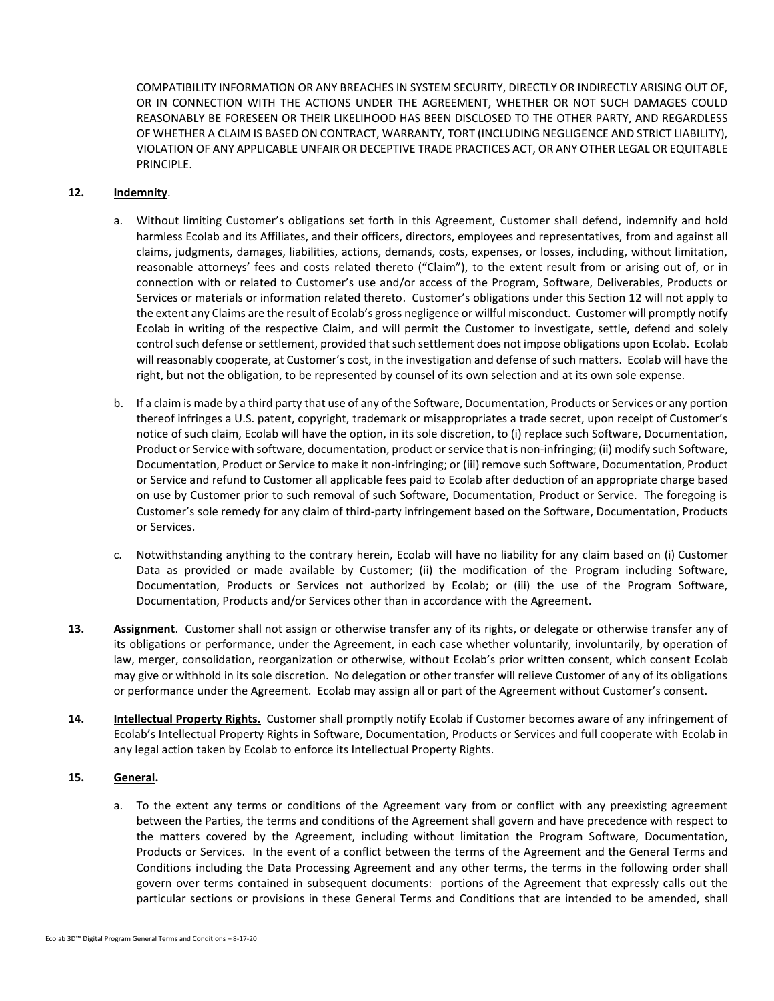COMPATIBILITY INFORMATION OR ANY BREACHES IN SYSTEM SECURITY, DIRECTLY OR INDIRECTLY ARISING OUT OF, OR IN CONNECTION WITH THE ACTIONS UNDER THE AGREEMENT, WHETHER OR NOT SUCH DAMAGES COULD REASONABLY BE FORESEEN OR THEIR LIKELIHOOD HAS BEEN DISCLOSED TO THE OTHER PARTY, AND REGARDLESS OF WHETHER A CLAIM IS BASED ON CONTRACT, WARRANTY, TORT (INCLUDING NEGLIGENCE AND STRICT LIABILITY), VIOLATION OF ANY APPLICABLE UNFAIR OR DECEPTIVE TRADE PRACTICES ACT, OR ANY OTHER LEGAL OR EQUITABLE PRINCIPLE.

### **12. Indemnity**.

- a. Without limiting Customer's obligations set forth in this Agreement, Customer shall defend, indemnify and hold harmless Ecolab and its Affiliates, and their officers, directors, employees and representatives, from and against all claims, judgments, damages, liabilities, actions, demands, costs, expenses, or losses, including, without limitation, reasonable attorneys' fees and costs related thereto ("Claim"), to the extent result from or arising out of, or in connection with or related to Customer's use and/or access of the Program, Software, Deliverables, Products or Services or materials or information related thereto. Customer's obligations under this Section 12 will not apply to the extent any Claims are the result of Ecolab's gross negligence or willful misconduct. Customer will promptly notify Ecolab in writing of the respective Claim, and will permit the Customer to investigate, settle, defend and solely control such defense or settlement, provided that such settlement does not impose obligations upon Ecolab. Ecolab will reasonably cooperate, at Customer's cost, in the investigation and defense of such matters. Ecolab will have the right, but not the obligation, to be represented by counsel of its own selection and at its own sole expense.
- b. If a claim is made by a third party that use of any of the Software, Documentation, Products or Services or any portion thereof infringes a U.S. patent, copyright, trademark or misappropriates a trade secret, upon receipt of Customer's notice of such claim, Ecolab will have the option, in its sole discretion, to (i) replace such Software, Documentation, Product or Service with software, documentation, product or service that is non-infringing; (ii) modify such Software, Documentation, Product or Service to make it non-infringing; or (iii) remove such Software, Documentation, Product or Service and refund to Customer all applicable fees paid to Ecolab after deduction of an appropriate charge based on use by Customer prior to such removal of such Software, Documentation, Product or Service. The foregoing is Customer's sole remedy for any claim of third-party infringement based on the Software, Documentation, Products or Services.
- c. Notwithstanding anything to the contrary herein, Ecolab will have no liability for any claim based on (i) Customer Data as provided or made available by Customer; (ii) the modification of the Program including Software, Documentation, Products or Services not authorized by Ecolab; or (iii) the use of the Program Software, Documentation, Products and/or Services other than in accordance with the Agreement.
- **13. Assignment**. Customer shall not assign or otherwise transfer any of its rights, or delegate or otherwise transfer any of its obligations or performance, under the Agreement, in each case whether voluntarily, involuntarily, by operation of law, merger, consolidation, reorganization or otherwise, without Ecolab's prior written consent, which consent Ecolab may give or withhold in its sole discretion. No delegation or other transfer will relieve Customer of any of its obligations or performance under the Agreement. Ecolab may assign all or part of the Agreement without Customer's consent.
- **14. Intellectual Property Rights.** Customer shall promptly notify Ecolab if Customer becomes aware of any infringement of Ecolab's Intellectual Property Rights in Software, Documentation, Products or Services and full cooperate with Ecolab in any legal action taken by Ecolab to enforce its Intellectual Property Rights.

# **15. General.**

a. To the extent any terms or conditions of the Agreement vary from or conflict with any preexisting agreement between the Parties, the terms and conditions of the Agreement shall govern and have precedence with respect to the matters covered by the Agreement, including without limitation the Program Software, Documentation, Products or Services. In the event of a conflict between the terms of the Agreement and the General Terms and Conditions including the Data Processing Agreement and any other terms, the terms in the following order shall govern over terms contained in subsequent documents: portions of the Agreement that expressly calls out the particular sections or provisions in these General Terms and Conditions that are intended to be amended, shall